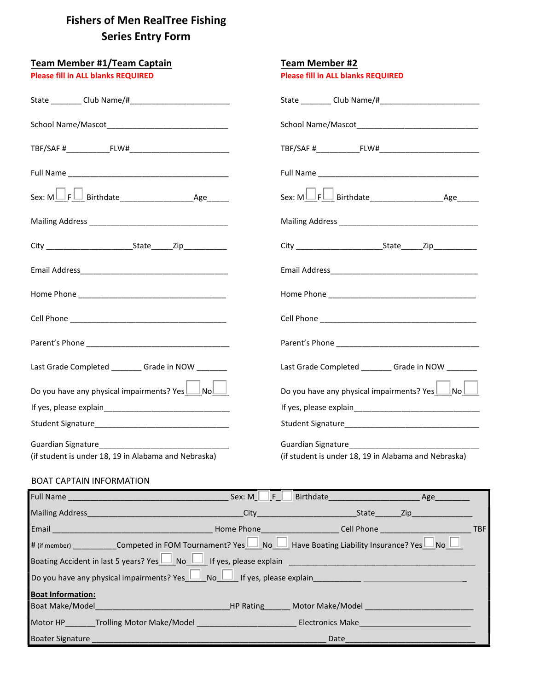# Fishers of Men **RealTree Fishing** Series Entry Form

| <b>Team Member #1/Team Captain</b>                           | <b>Team Member #2</b>                                                                                                                                                                                                                                                     |  |  |
|--------------------------------------------------------------|---------------------------------------------------------------------------------------------------------------------------------------------------------------------------------------------------------------------------------------------------------------------------|--|--|
| <b>Please fill in ALL blanks REQUIRED</b>                    | <b>Please fill in ALL blanks REQUIRED</b>                                                                                                                                                                                                                                 |  |  |
|                                                              |                                                                                                                                                                                                                                                                           |  |  |
|                                                              |                                                                                                                                                                                                                                                                           |  |  |
|                                                              |                                                                                                                                                                                                                                                                           |  |  |
|                                                              |                                                                                                                                                                                                                                                                           |  |  |
|                                                              |                                                                                                                                                                                                                                                                           |  |  |
|                                                              |                                                                                                                                                                                                                                                                           |  |  |
|                                                              |                                                                                                                                                                                                                                                                           |  |  |
|                                                              |                                                                                                                                                                                                                                                                           |  |  |
|                                                              |                                                                                                                                                                                                                                                                           |  |  |
|                                                              |                                                                                                                                                                                                                                                                           |  |  |
|                                                              |                                                                                                                                                                                                                                                                           |  |  |
| Last Grade Completed _________ Grade in NOW ________         | Last Grade Completed ________ Grade in NOW _______                                                                                                                                                                                                                        |  |  |
| Do you have any physical impairments? $Yes$ $\Box$ No $\Box$ | Do you have any physical impairments? Yes $\Box$ No $\Box$                                                                                                                                                                                                                |  |  |
|                                                              |                                                                                                                                                                                                                                                                           |  |  |
|                                                              |                                                                                                                                                                                                                                                                           |  |  |
|                                                              | Guardian Signature<br><u>[</u> [11] Cuardian Signature <b>[12]</b> Cuardian Signature <b>[12]</b> Cuardian Signature <b>[12]</b> Cuardian Signature <b>[12]</b> Cuardian Signature <b>[12]</b> Cuardian Signature <b>[12]</b> Cuardian Signature <b>[12]</b> Cuardian Sig |  |  |
| (if student is under 18, 19 in Alabama and Nebraska)         | (if student is under 18, 19 in Alabama and Nebraska)                                                                                                                                                                                                                      |  |  |

## BOAT CAPTAIN INFORMATION

|                                                                                                                                   | Sex: $M \mid$<br>$F_{\perp}$ | Birthdate Age                                      |  |  |            |  |
|-----------------------------------------------------------------------------------------------------------------------------------|------------------------------|----------------------------------------------------|--|--|------------|--|
| Mailing Address<br>Mailing Address                                                                                                |                              | City City City City City Contract of the State Cip |  |  |            |  |
| Email <u>Communication</u>                                                                                                        |                              |                                                    |  |  | <b>TBF</b> |  |
| # (if member) ____________Competed in FOM Tournament? Yes $\Box$ No $\Box$ Have Boating Liability Insurance? Yes $\Box$ No $\Box$ |                              |                                                    |  |  |            |  |
| Boating Accident in last 5 years? Yes No No I If yes, please explain                                                              |                              |                                                    |  |  |            |  |
| Do you have any physical impairments? Yes No I If yes, please explain                                                             |                              |                                                    |  |  |            |  |
| <b>Boat Information:</b>                                                                                                          |                              |                                                    |  |  |            |  |
| <b>Boat Make/Model Notifiably Controller and Motor Make/Model HP Rating Motor Make/Model</b>                                      |                              |                                                    |  |  |            |  |
| Motor HP _______Trolling Motor Make/Model _______________________________Electronics Make___________                              |                              |                                                    |  |  |            |  |
| Boater Signature ___________                                                                                                      |                              | Date                                               |  |  |            |  |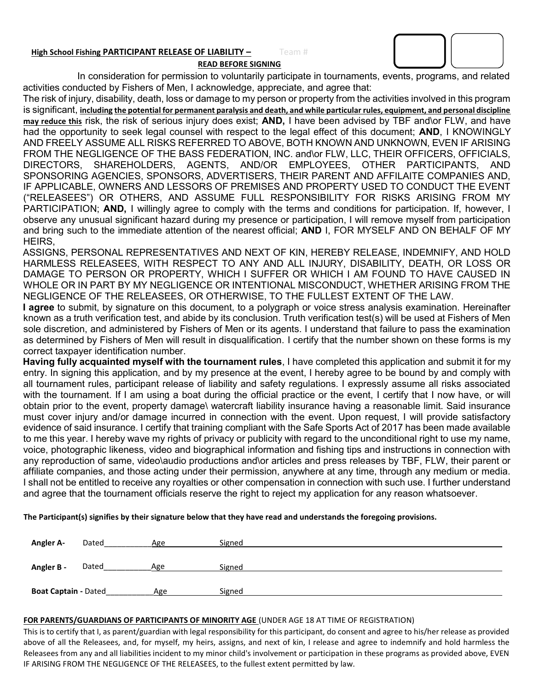#### High School Fishing PARTICIPANT RELEASE OF LIABILITY - Team #

READ BEFORE SIGNING

In consideration for permission to voluntarily participate in tournaments, events, programs, and related activities conducted by Fishers of Men, I acknowledge, appreciate, and agree that:

The risk of injury, disability, death, loss or damage to my person or property from the activities involved in this program is significant, including the potential for permanent paralysis and death, and while particular rules, equipment, and personal discipline may reduce this risk, the risk of serious injury does exist; AND, I have been advised by TBF and\or FLW, and have had the opportunity to seek legal counsel with respect to the legal effect of this document; **AND**, I KNOWINGLY AND FREELY ASSUME ALL RISKS REFERRED TO ABOVE, BOTH KNOWN AND UNKNOWN, EVEN IF ARISING FROM THE NEGLIGENCE OF THE BASS FEDERATION, INC. and\or FLW, LLC, THEIR OFFICERS, OFFICIALS, DIRECTORS, SHAREHOLDERS, AGENTS, AND/OR EMPLOYEES, OTHER PARTICIPANTS, AND SPONSORING AGENCIES, SPONSORS, ADVERTISERS, THEIR PARENT AND AFFILAITE COMPANIES AND, IF APPLICABLE, OWNERS AND LESSORS OF PREMISES AND PROPERTY USED TO CONDUCT THE EVENT ("RELEASEES") OR OTHERS, AND ASSUME FULL RESPONSIBILITY FOR RISKS ARISING FROM MY PARTICIPATION; AND, I willingly agree to comply with the terms and conditions for participation. If, however, I observe any unusual significant hazard during my presence or participation, I will remove myself from participation and bring such to the immediate attention of the nearest official; AND I, FOR MYSELF AND ON BEHALF OF MY HEIRS,

ASSIGNS, PERSONAL REPRESENTATIVES AND NEXT OF KIN, HEREBY RELEASE, INDEMNIFY, AND HOLD HARMLESS RELEASEES, WITH RESPECT TO ANY AND ALL INJURY, DISABILITY, DEATH, OR LOSS OR DAMAGE TO PERSON OR PROPERTY, WHICH I SUFFER OR WHICH I AM FOUND TO HAVE CAUSED IN WHOLE OR IN PART BY MY NEGLIGENCE OR INTENTIONAL MISCONDUCT, WHETHER ARISING FROM THE NEGLIGENCE OF THE RELEASEES, OR OTHERWISE, TO THE FULLEST EXTENT OF THE LAW.

I agree to submit, by signature on this document, to a polygraph or voice stress analysis examination. Hereinafter known as a truth verification test, and abide by its conclusion. Truth verification test(s) will be used at Fishers of Men sole discretion, and administered by Fishers of Men or its agents. I understand that failure to pass the examination as determined by Fishers of Men will result in disqualification. I certify that the number shown on these forms is my correct taxpayer identification number.

Having fully acquainted myself with the tournament rules, I have completed this application and submit it for my entry. In signing this application, and by my presence at the event, I hereby agree to be bound by and comply with all tournament rules, participant release of liability and safety regulations. I expressly assume all risks associated with the tournament. If I am using a boat during the official practice or the event, I certify that I now have, or will obtain prior to the event, property damage\ watercraft liability insurance having a reasonable limit. Said insurance must cover injury and/or damage incurred in connection with the event. Upon request, I will provide satisfactory evidence of said insurance. I certify that training compliant with the Safe Sports Act of 2017 has been made available to me this year. I hereby wave my rights of privacy or publicity with regard to the unconditional right to use my name, voice, photographic likeness, video and biographical information and fishing tips and instructions in connection with any reproduction of same, video\audio productions and\or articles and press releases by TBF, FLW, their parent or affiliate companies, and those acting under their permission, anywhere at any time, through any medium or media. I shall not be entitled to receive any royalties or other compensation in connection with such use. I further understand and agree that the tournament officials reserve the right to reject my application for any reason whatsoever.

The Participant(s) signifies by their signature below that they have read and understands the foregoing provisions.

| <b>Angler A-</b>            | Dated | Age | Signed |
|-----------------------------|-------|-----|--------|
| Angler B -                  | Dated | Age | Signed |
| <b>Boat Captain - Dated</b> |       | Age | Signed |

### FOR PARENTS/GUARDIANS OF PARTICIPANTS OF MINORITY AGE (UNDER AGE 18 AT TIME OF REGISTRATION)

This is to certify that I, as parent/guardian with legal responsibility for this participant, do consent and agree to his/her release as provided above of all the Releasees, and, for myself, my heirs, assigns, and next of kin, I release and agree to indemnify and hold harmless the Releasees from any and all liabilities incident to my minor child's involvement or participation in these programs as provided above, EVEN IF ARISING FROM THE NEGLIGENCE OF THE RELEASEES, to the fullest extent permitted by law.